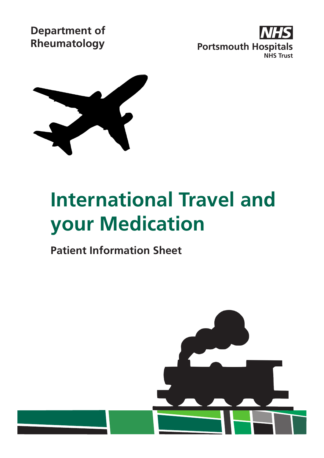**Department of**





# **International Travel and your Medication**

# **Patient Information Sheet**

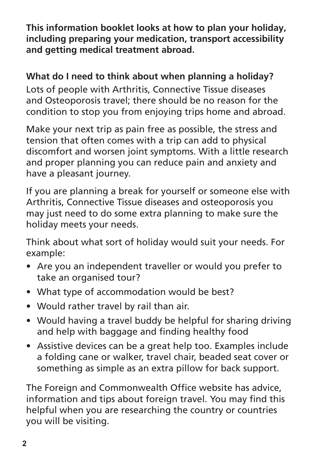**This information booklet looks at how to plan your holiday, including preparing your medication, transport accessibility and getting medical treatment abroad.** 

# **What do I need to think about when planning a holiday?**

Lots of people with Arthritis, Connective Tissue diseases and Osteoporosis travel; there should be no reason for the condition to stop you from enjoying trips home and abroad.

Make your next trip as pain free as possible, the stress and tension that often comes with a trip can add to physical discomfort and worsen joint symptoms. With a little research and proper planning you can reduce pain and anxiety and have a pleasant journey.

If you are planning a break for yourself or someone else with Arthritis, Connective Tissue diseases and osteoporosis you may just need to do some extra planning to make sure the holiday meets your needs.

Think about what sort of holiday would suit your needs. For example:

- Are you an independent traveller or would you prefer to take an organised tour?
- What type of accommodation would be best?
- Would rather travel by rail than air.
- Would having a travel buddy be helpful for sharing driving and help with baggage and finding healthy food
- Assistive devices can be a great help too. Examples include a folding cane or walker, travel chair, beaded seat cover or something as simple as an extra pillow for back support.

The Foreign and Commonwealth Office website has advice, information and tips about foreign travel. You may find this helpful when you are researching the country or countries you will be visiting.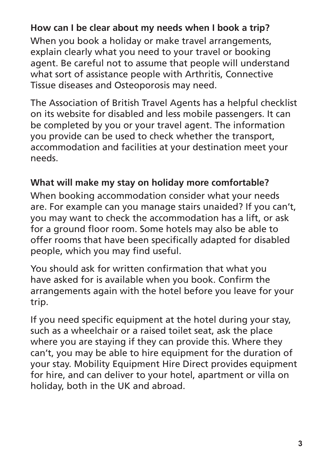#### **How can I be clear about my needs when I book a trip?**

When you book a holiday or make travel arrangements, explain clearly what you need to your travel or booking agent. Be careful not to assume that people will understand what sort of assistance people with Arthritis, Connective Tissue diseases and Osteoporosis may need.

The Association of British Travel Agents has a helpful checklist on its website for disabled and less mobile passengers. It can be completed by you or your travel agent. The information you provide can be used to check whether the transport, accommodation and facilities at your destination meet your needs.

#### **What will make my stay on holiday more comfortable?**

When booking accommodation consider what your needs are. For example can you manage stairs unaided? If you can't, you may want to check the accommodation has a lift, or ask for a ground floor room. Some hotels may also be able to offer rooms that have been specifically adapted for disabled people, which you may find useful.

You should ask for written confirmation that what you have asked for is available when you book. Confirm the arrangements again with the hotel before you leave for your trip.

If you need specific equipment at the hotel during your stay, such as a wheelchair or a raised toilet seat, ask the place where you are staying if they can provide this. Where they can't, you may be able to hire equipment for the duration of your stay. Mobility Equipment Hire Direct provides equipment for hire, and can deliver to your hotel, apartment or villa on holiday, both in the UK and abroad.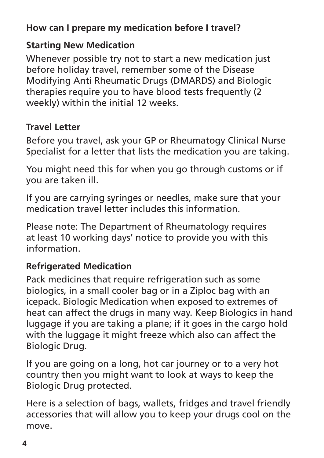# **How can I prepare my medication before I travel?**

### **Starting New Medication**

Whenever possible try not to start a new medication just before holiday travel, remember some of the Disease Modifying Anti Rheumatic Drugs (DMARDS) and Biologic therapies require you to have blood tests frequently (2 weekly) within the initial 12 weeks.

# **Travel Letter**

Before you travel, ask your GP or Rheumatogy Clinical Nurse Specialist for a letter that lists the medication you are taking.

You might need this for when you go through customs or if you are taken ill.

If you are carrying syringes or needles, make sure that your medication travel letter includes this information.

Please note: The Department of Rheumatology requires at least 10 working days' notice to provide you with this information.

# **Refrigerated Medication**

Pack medicines that require refrigeration such as some biologics, in a small cooler bag or in a Ziploc bag with an icepack. Biologic Medication when exposed to extremes of heat can affect the drugs in many way. Keep Biologics in hand luggage if you are taking a plane; if it goes in the cargo hold with the luggage it might freeze which also can affect the Biologic Drug.

If you are going on a long, hot car journey or to a very hot country then you might want to look at ways to keep the Biologic Drug protected.

Here is a selection of bags, wallets, fridges and travel friendly accessories that will allow you to keep your drugs cool on the move.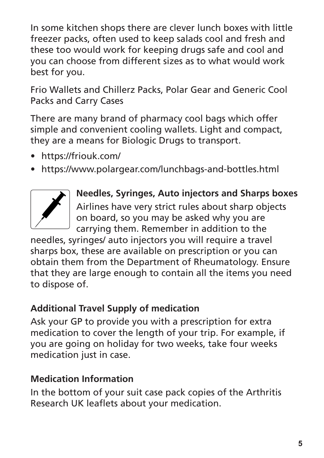In some kitchen shops there are clever lunch boxes with little freezer packs, often used to keep salads cool and fresh and these too would work for keeping drugs safe and cool and you can choose from different sizes as to what would work best for you.

Frio Wallets and Chillerz Packs, Polar Gear and Generic Cool Packs and Carry Cases

There are many brand of pharmacy cool bags which offer simple and convenient cooling wallets. Light and compact, they are a means for Biologic Drugs to transport.

- https://friouk.com/
- https://www.polargear.com/lunchbags-and-bottles.html



**Needles, Syringes, Auto injectors and Sharps boxes** Airlines have very strict rules about sharp objects on board, so you may be asked why you are carrying them. Remember in addition to the

needles, syringes/ auto injectors you will require a travel sharps box, these are available on prescription or you can obtain them from the Department of Rheumatology. Ensure that they are large enough to contain all the items you need to dispose of.

# **Additional Travel Supply of medication**

Ask your GP to provide you with a prescription for extra medication to cover the length of your trip. For example, if you are going on holiday for two weeks, take four weeks medication just in case.

# **Medication Information**

In the bottom of your suit case pack copies of the Arthritis Research UK leaflets about your medication.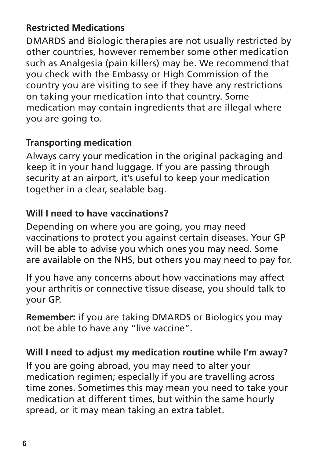# **Restricted Medications**

DMARDS and Biologic therapies are not usually restricted by other countries, however remember some other medication such as Analgesia (pain killers) may be. We recommend that you check with the Embassy or High Commission of the country you are visiting to see if they have any restrictions on taking your medication into that country. Some medication may contain ingredients that are illegal where you are going to.

#### **Transporting medication**

Always carry your medication in the original packaging and keep it in your hand luggage. If you are passing through security at an airport, it's useful to keep your medication together in a clear, sealable bag.

## **Will I need to have vaccinations?**

Depending on where you are going, you may need vaccinations to protect you against certain diseases. Your GP will be able to advise you which ones you may need. Some are available on the NHS, but others you may need to pay for.

If you have any concerns about how vaccinations may affect your arthritis or connective tissue disease, you should talk to your GP.

**Remember:** if you are taking DMARDS or Biologics you may not be able to have any "live vaccine".

#### **Will I need to adjust my medication routine while I'm away?**

If you are going abroad, you may need to alter your medication regimen; especially if you are travelling across time zones. Sometimes this may mean you need to take your medication at different times, but within the same hourly spread, or it may mean taking an extra tablet.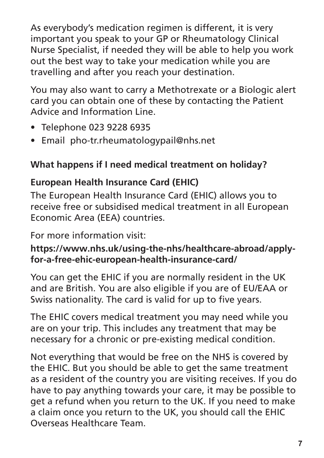As everybody's medication regimen is different, it is very important you speak to your GP or Rheumatology Clinical Nurse Specialist, if needed they will be able to help you work out the best way to take your medication while you are travelling and after you reach your destination.

You may also want to carry a Methotrexate or a Biologic alert card you can obtain one of these by contacting the Patient Advice and Information Line.

- Telephone 023 9228 6935
- Email pho-tr.rheumatologypail@nhs.net

# **What happens if I need medical treatment on holiday?**

## **European Health Insurance Card (EHIC)**

The European Health Insurance Card (EHIC) allows you to receive free or subsidised medical treatment in all European Economic Area (EEA) countries.

For more information visit:

#### **https://www.nhs.uk/using-the-nhs/healthcare-abroad/applyfor-a-free-ehic-european-health-insurance-card/**

You can get the EHIC if you are normally resident in the UK and are British. You are also eligible if you are of EU/EAA or Swiss nationality. The card is valid for up to five years.

The EHIC covers medical treatment you may need while you are on your trip. This includes any treatment that may be necessary for a chronic or pre-existing medical condition.

Not everything that would be free on the NHS is covered by the EHIC. But you should be able to get the same treatment as a resident of the country you are visiting receives. If you do have to pay anything towards your care, it may be possible to get a refund when you return to the UK. If you need to make a claim once you return to the UK, you should call the EHIC Overseas Healthcare Team.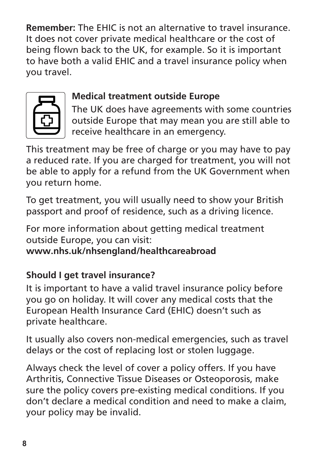**Remember:** The EHIC is not an alternative to travel insurance. It does not cover private medical healthcare or the cost of being flown back to the UK, for example. So it is important to have both a valid EHIC and a travel insurance policy when you travel.



# **Medical treatment outside Europe**

The UK does have agreements with some countries outside Europe that may mean you are still able to receive healthcare in an emergency.

This treatment may be free of charge or you may have to pay a reduced rate. If you are charged for treatment, you will not be able to apply for a refund from the UK Government when you return home.

To get treatment, you will usually need to show your British passport and proof of residence, such as a driving licence.

For more information about getting medical treatment outside Europe, you can visit:

**www.nhs.uk/nhsengland/healthcareabroad**

# **Should I get travel insurance?**

It is important to have a valid travel insurance policy before you go on holiday. It will cover any medical costs that the European Health Insurance Card (EHIC) doesn't such as private healthcare.

It usually also covers non-medical emergencies, such as travel delays or the cost of replacing lost or stolen luggage.

Always check the level of cover a policy offers. If you have Arthritis, Connective Tissue Diseases or Osteoporosis, make sure the policy covers pre-existing medical conditions. If you don't declare a medical condition and need to make a claim, your policy may be invalid.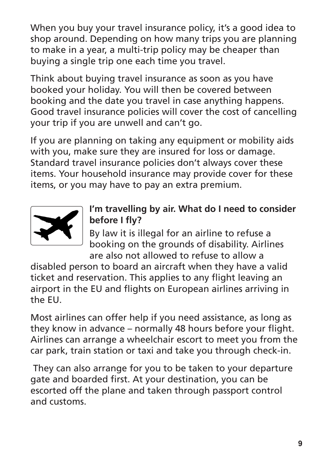When you buy your travel insurance policy, it's a good idea to shop around. Depending on how many trips you are planning to make in a year, a multi-trip policy may be cheaper than buying a single trip one each time you travel.

Think about buying travel insurance as soon as you have booked your holiday. You will then be covered between booking and the date you travel in case anything happens. Good travel insurance policies will cover the cost of cancelling your trip if you are unwell and can't go.

If you are planning on taking any equipment or mobility aids with you, make sure they are insured for loss or damage. Standard travel insurance policies don't always cover these items. Your household insurance may provide cover for these items, or you may have to pay an extra premium.



## **I'm travelling by air. What do I need to consider before I fly?**

By law it is illegal for an airline to refuse a booking on the grounds of disability. Airlines are also not allowed to refuse to allow a

disabled person to board an aircraft when they have a valid ticket and reservation. This applies to any flight leaving an airport in the EU and flights on European airlines arriving in the EU.

Most airlines can offer help if you need assistance, as long as they know in advance – normally 48 hours before your flight. Airlines can arrange a wheelchair escort to meet you from the car park, train station or taxi and take you through check-in.

 They can also arrange for you to be taken to your departure gate and boarded first. At your destination, you can be escorted off the plane and taken through passport control and customs.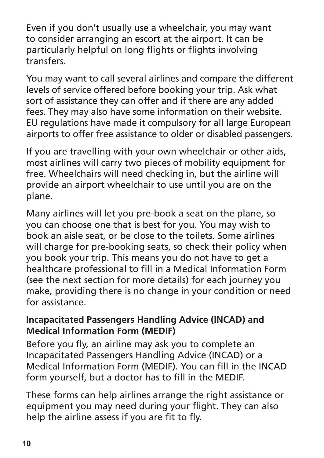Even if you don't usually use a wheelchair, you may want to consider arranging an escort at the airport. It can be particularly helpful on long flights or flights involving transfers.

You may want to call several airlines and compare the different levels of service offered before booking your trip. Ask what sort of assistance they can offer and if there are any added fees. They may also have some information on their website. EU regulations have made it compulsory for all large European airports to offer free assistance to older or disabled passengers.

If you are travelling with your own wheelchair or other aids, most airlines will carry two pieces of mobility equipment for free. Wheelchairs will need checking in, but the airline will provide an airport wheelchair to use until you are on the plane.

Many airlines will let you pre-book a seat on the plane, so you can choose one that is best for you. You may wish to book an aisle seat, or be close to the toilets. Some airlines will charge for pre-booking seats, so check their policy when you book your trip. This means you do not have to get a healthcare professional to fill in a Medical Information Form (see the next section for more details) for each journey you make, providing there is no change in your condition or need for assistance.

#### **Incapacitated Passengers Handling Advice (INCAD) and Medical Information Form (MEDIF)**

Before you fly, an airline may ask you to complete an Incapacitated Passengers Handling Advice (INCAD) or a Medical Information Form (MEDIF). You can fill in the INCAD form yourself, but a doctor has to fill in the MEDIF.

These forms can help airlines arrange the right assistance or equipment you may need during your flight. They can also help the airline assess if you are fit to fly.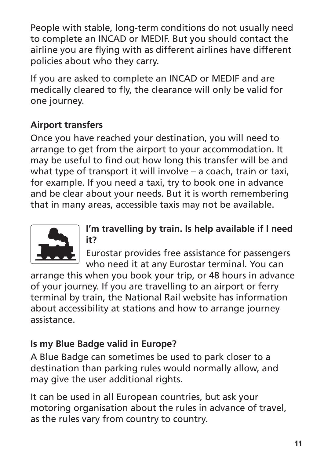People with stable, long-term conditions do not usually need to complete an INCAD or MEDIF. But you should contact the airline you are flying with as different airlines have different policies about who they carry.

If you are asked to complete an INCAD or MEDIF and are medically cleared to fly, the clearance will only be valid for one journey.

# **Airport transfers**

Once you have reached your destination, you will need to arrange to get from the airport to your accommodation. It may be useful to find out how long this transfer will be and what type of transport it will involve – a coach, train or taxi, for example. If you need a taxi, try to book one in advance and be clear about your needs. But it is worth remembering that in many areas, accessible taxis may not be available.



### **I'm travelling by train. Is help available if I need it?**

Eurostar provides free assistance for passengers who need it at any Eurostar terminal. You can

arrange this when you book your trip, or 48 hours in advance of your journey. If you are travelling to an airport or ferry terminal by train, the National Rail website has information about accessibility at stations and how to arrange journey assistance.

# **Is my Blue Badge valid in Europe?**

A Blue Badge can sometimes be used to park closer to a destination than parking rules would normally allow, and may give the user additional rights.

It can be used in all European countries, but ask your motoring organisation about the rules in advance of travel, as the rules vary from country to country.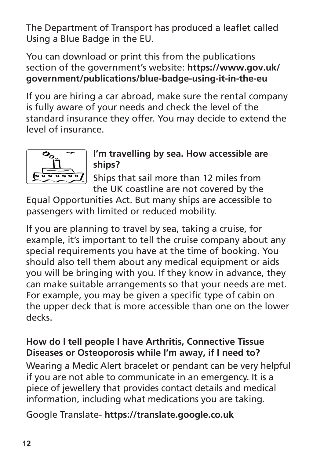The Department of Transport has produced a leaflet called Using a Blue Badge in the EU.

You can download or print this from the publications section of the government's website: **https://www.gov.uk/ government/publications/blue-badge-using-it-in-the-eu**

If you are hiring a car abroad, make sure the rental company is fully aware of your needs and check the level of the standard insurance they offer. You may decide to extend the level of insurance.



#### **I'm travelling by sea. How accessible are ships?**

Ships that sail more than 12 miles from the UK coastline are not covered by the

Equal Opportunities Act. But many ships are accessible to passengers with limited or reduced mobility.

If you are planning to travel by sea, taking a cruise, for example, it's important to tell the cruise company about any special requirements you have at the time of booking. You should also tell them about any medical equipment or aids you will be bringing with you. If they know in advance, they can make suitable arrangements so that your needs are met. For example, you may be given a specific type of cabin on the upper deck that is more accessible than one on the lower decks.

#### **How do I tell people I have Arthritis, Connective Tissue Diseases or Osteoporosis while I'm away, if I need to?**

Wearing a Medic Alert bracelet or pendant can be very helpful if you are not able to communicate in an emergency. It is a piece of jewellery that provides contact details and medical information, including what medications you are taking.

Google Translate- **https://translate.google.co.uk**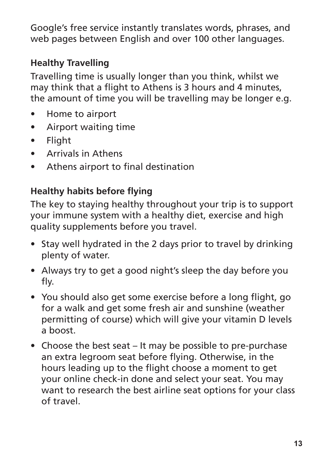Google's free service instantly translates words, phrases, and web pages between English and over 100 other languages.

# **Healthy Travelling**

Travelling time is usually longer than you think, whilst we may think that a flight to Athens is 3 hours and 4 minutes, the amount of time you will be travelling may be longer e.g.

- Home to airport
- Airport waiting time
- Flight
- Arrivals in Athens
- Athens airport to final destination

# **Healthy habits before flying**

The key to staying healthy throughout your trip is to support your immune system with a healthy diet, exercise and high quality supplements before you travel.

- Stay well hydrated in the 2 days prior to travel by drinking plenty of water.
- Always try to get a good night's sleep the day before you fly.
- You should also get some exercise before a long flight, go for a walk and get some fresh air and sunshine (weather permitting of course) which will give your vitamin D levels a boost.
- Choose the best seat It may be possible to pre-purchase an extra legroom seat before flying. Otherwise, in the hours leading up to the flight choose a moment to get your online check-in done and select your seat. You may want to research the best airline seat options for your class of travel.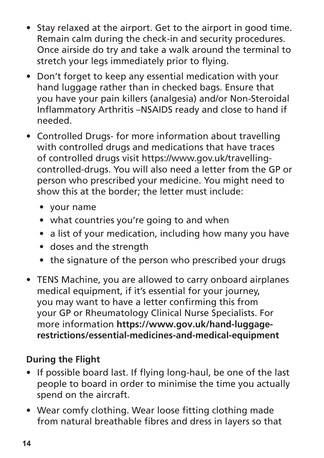- Stay relaxed at the airport. Get to the airport in good time. Remain calm during the check-in and security procedures. Once airside do try and take a walk around the terminal to stretch your legs immediately prior to flying.
- Don't forget to keep any essential medication with your hand luggage rather than in checked bags. Ensure that you have your pain killers (analgesia) and/or Non-Steroidal Inflammatory Arthritis –NSAIDS ready and close to hand if needed.
- Controlled Drugs- for more information about travelling with controlled drugs and medications that have traces of controlled drugs visit https://www.gov.uk/travellingcontrolled-drugs. You will also need a letter from the GP or person who prescribed your medicine. You might need to show this at the border; the letter must include:
	- your name
	- what countries you're going to and when
	- a list of your medication, including how many you have
	- doses and the strength
	- the signature of the person who prescribed your drugs
- TENS Machine, you are allowed to carry onboard airplanes medical equipment, if it's essential for your journey, you may want to have a letter confirming this from your GP or Rheumatology Clinical Nurse Specialists. For more information **https://www.gov.uk/hand-luggagerestrictions/essential-medicines-and-medical-equipment**

# **During the Flight**

- If possible board last. If flying long-haul, be one of the last people to board in order to minimise the time you actually spend on the aircraft.
- Wear comfy clothing. Wear loose fitting clothing made from natural breathable fibres and dress in layers so that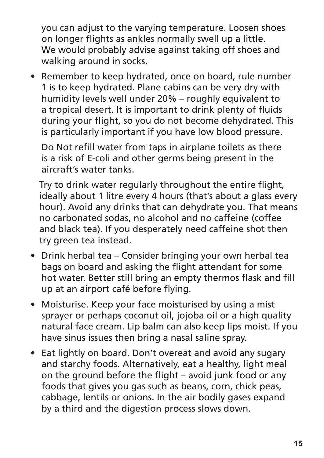you can adjust to the varying temperature. Loosen shoes on longer flights as ankles normally swell up a little. We would probably advise against taking off shoes and walking around in socks.

• Remember to keep hydrated, once on board, rule number 1 is to keep hydrated. Plane cabins can be very dry with humidity levels well under 20% – roughly equivalent to a tropical desert. It is important to drink plenty of fluids during your flight, so you do not become dehydrated. This is particularly important if you have low blood pressure.

Do Not refill water from taps in airplane toilets as there is a risk of E-coli and other germs being present in the aircraft's water tanks.

Try to drink water regularly throughout the entire flight, ideally about 1 litre every 4 hours (that's about a glass every hour). Avoid any drinks that can dehydrate you. That means no carbonated sodas, no alcohol and no caffeine (coffee and black tea). If you desperately need caffeine shot then try green tea instead.

- Drink herbal tea Consider bringing your own herbal tea bags on board and asking the flight attendant for some hot water. Better still bring an empty thermos flask and fill up at an airport café before flying.
- Moisturise. Keep your face moisturised by using a mist sprayer or perhaps coconut oil, jojoba oil or a high quality natural face cream. Lip balm can also keep lips moist. If you have sinus issues then bring a nasal saline spray.
- Eat lightly on board. Don't overeat and avoid any sugary and starchy foods. Alternatively, eat a healthy, light meal on the ground before the flight – avoid junk food or any foods that gives you gas such as beans, corn, chick peas, cabbage, lentils or onions. In the air bodily gases expand by a third and the digestion process slows down.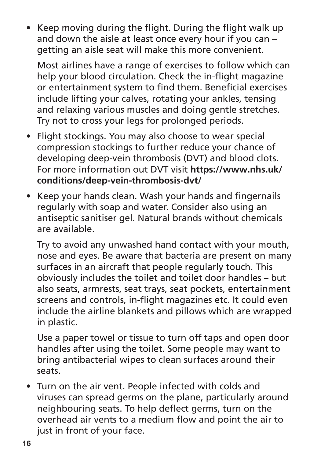• Keep moving during the flight. During the flight walk up and down the aisle at least once every hour if you can – getting an aisle seat will make this more convenient.

Most airlines have a range of exercises to follow which can help your blood circulation. Check the in-flight magazine or entertainment system to find them. Beneficial exercises include lifting your calves, rotating your ankles, tensing and relaxing various muscles and doing gentle stretches. Try not to cross your legs for prolonged periods.

- Flight stockings. You may also choose to wear special compression stockings to further reduce your chance of developing deep-vein thrombosis (DVT) and blood clots. For more information out DVT visit **https://www.nhs.uk/ conditions/deep-vein-thrombosis-dvt/**
- Keep your hands clean. Wash your hands and fingernails regularly with soap and water. Consider also using an antiseptic sanitiser gel. Natural brands without chemicals are available.

Try to avoid any unwashed hand contact with your mouth, nose and eyes. Be aware that bacteria are present on many surfaces in an aircraft that people regularly touch. This obviously includes the toilet and toilet door handles – but also seats, armrests, seat trays, seat pockets, entertainment screens and controls, in-flight magazines etc. It could even include the airline blankets and pillows which are wrapped in plastic.

Use a paper towel or tissue to turn off taps and open door handles after using the toilet. Some people may want to bring antibacterial wipes to clean surfaces around their seats.

• Turn on the air vent. People infected with colds and viruses can spread germs on the plane, particularly around neighbouring seats. To help deflect germs, turn on the overhead air vents to a medium flow and point the air to just in front of your face.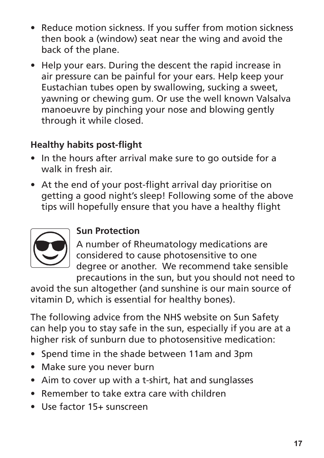- Reduce motion sickness. If you suffer from motion sickness then book a (window) seat near the wing and avoid the back of the plane.
- Help your ears. During the descent the rapid increase in air pressure can be painful for your ears. Help keep your Eustachian tubes open by swallowing, sucking a sweet, yawning or chewing gum. Or use the well known Valsalva manoeuvre by pinching your nose and blowing gently through it while closed.

# **Healthy habits post-flight**

- In the hours after arrival make sure to go outside for a walk in fresh air.
- At the end of your post-flight arrival day prioritise on getting a good night's sleep! Following some of the above tips will hopefully ensure that you have a healthy flight



## **Sun Protection**

A number of Rheumatology medications are considered to cause photosensitive to one degree or another. We recommend take sensible precautions in the sun, but you should not need to

avoid the sun altogether (and sunshine is our main source of vitamin D, which is essential for healthy bones).

The following advice from the NHS website on Sun Safety can help you to stay safe in the sun, especially if you are at a higher risk of sunburn due to photosensitive medication:

- Spend time in the shade between 11am and 3pm
- Make sure you never burn
- Aim to cover up with a t-shirt, hat and sunglasses
- Remember to take extra care with children
- Use factor 15+ sunscreen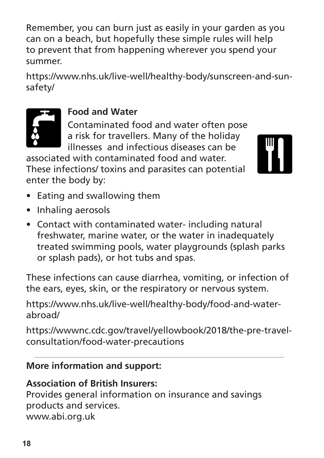Remember, you can burn just as easily in your garden as you can on a beach, but hopefully these simple rules will help to prevent that from happening wherever you spend your summer.

https://www.nhs.uk/live-well/healthy-body/sunscreen-and-sunsafety/



#### **Food and Water**

Contaminated food and water often pose a risk for travellers. Many of the holiday illnesses and infectious diseases can be

associated with contaminated food and water. These infections/ toxins and parasites can potential enter the body by:



- Eating and swallowing them
- Inhaling aerosols
- Contact with contaminated water- including natural freshwater, marine water, or the water in inadequately treated swimming pools, water playgrounds (splash parks or splash pads), or hot tubs and spas.

These infections can cause diarrhea, vomiting, or infection of the ears, eyes, skin, or the respiratory or nervous system.

https://www.nhs.uk/live-well/healthy-body/food-and-waterabroad/

https://wwwnc.cdc.gov/travel/yellowbook/2018/the-pre-travelconsultation/food-water-precautions

#### **More information and support:**

#### **Association of British Insurers:**

Provides general information on insurance and savings products and services. www.abi.org.uk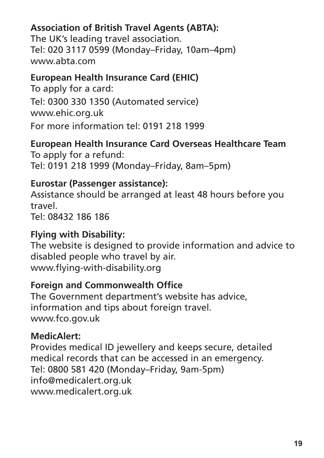## **Association of British Travel Agents (ABTA):**

The UK's leading travel association. Tel: 020 3117 0599 (Monday–Friday, 10am–4pm) www.abta.com

#### **European Health Insurance Card (EHIC)**

To apply for a card: Tel: 0300 330 1350 (Automated service) www.ehic.org.uk For more information tel: 0191 218 1999

#### **European Health Insurance Card Overseas Healthcare Team** To apply for a refund:

Tel: 0191 218 1999 (Monday–Friday, 8am–5pm)

#### **Eurostar (Passenger assistance):**

Assistance should be arranged at least 48 hours before you travel. Tel: 08432 186 186

#### **Flying with Disability:**

The website is designed to provide information and advice to disabled people who travel by air. www.flying-with-disability.org

#### **Foreign and Commonwealth Office**

The Government department's website has advice, information and tips about foreign travel. www.fco.gov.uk

#### **MedicAlert:**

Provides medical ID jewellery and keeps secure, detailed medical records that can be accessed in an emergency. Tel: 0800 581 420 (Monday–Friday, 9am-5pm) info@medicalert.org.uk www.medicalert.org.uk